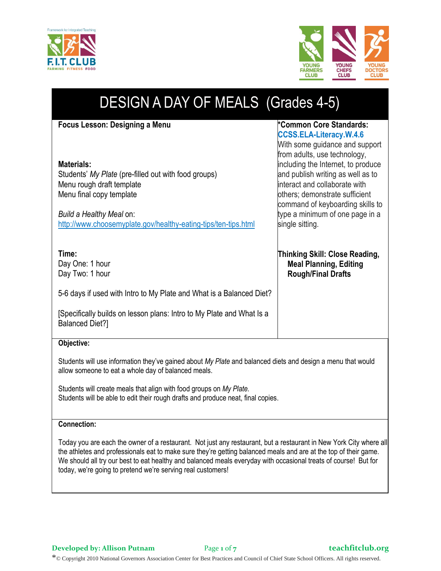



| <b>DESIGN A DAY OF MEALS (Grades 4-5)</b>                                                                                                                                                                                                                                                                                                   |                                                                                                                                                                                                                                                                                                                                                                     |
|---------------------------------------------------------------------------------------------------------------------------------------------------------------------------------------------------------------------------------------------------------------------------------------------------------------------------------------------|---------------------------------------------------------------------------------------------------------------------------------------------------------------------------------------------------------------------------------------------------------------------------------------------------------------------------------------------------------------------|
| Focus Lesson: Designing a Menu<br><b>Materials:</b><br>Students' My Plate (pre-filled out with food groups)<br>Menu rough draft template<br>Menu final copy template<br>Build a Healthy Meal on:<br>http://www.choosemyplate.gov/healthy-eating-tips/ten-tips.html                                                                          | *Common Core Standards:<br><b>CCSS.ELA-Literacy.W.4.6</b><br>With some guidance and support<br>from adults, use technology,<br>including the Internet, to produce<br>and publish writing as well as to<br>interact and collaborate with<br>others; demonstrate sufficient<br>command of keyboarding skills to<br>type a minimum of one page in a<br>single sitting. |
| Time:<br>Day One: 1 hour<br>Day Two: 1 hour<br>5-6 days if used with Intro to My Plate and What is a Balanced Diet?<br>[Specifically builds on lesson plans: Intro to My Plate and What Is a<br><b>Balanced Diet?]</b>                                                                                                                      | <b>Thinking Skill: Close Reading,</b><br><b>Meal Planning, Editing</b><br><b>Rough/Final Drafts</b>                                                                                                                                                                                                                                                                 |
| Objective:<br>Students will use information they've gained about My Plate and balanced diets and design a menu that would<br>allow someone to eat a whole day of balanced meals.<br>Students will create meals that align with food groups on My Plate.<br>Students will be able to edit their rough drafts and produce neat, final copies. |                                                                                                                                                                                                                                                                                                                                                                     |
| <b>Connection:</b>                                                                                                                                                                                                                                                                                                                          |                                                                                                                                                                                                                                                                                                                                                                     |

Today you are each the owner of a restaurant. Not just any restaurant, but a restaurant in New York City where all the athletes and professionals eat to make sure they're getting balanced meals and are at the top of their game. We should all try our best to eat healthy and balanced meals everyday with occasional treats of course! But for today, we're going to pretend we're serving real customers!

**Developed by: Allison Putnam** Page **1** of **7 teachfitclub.org**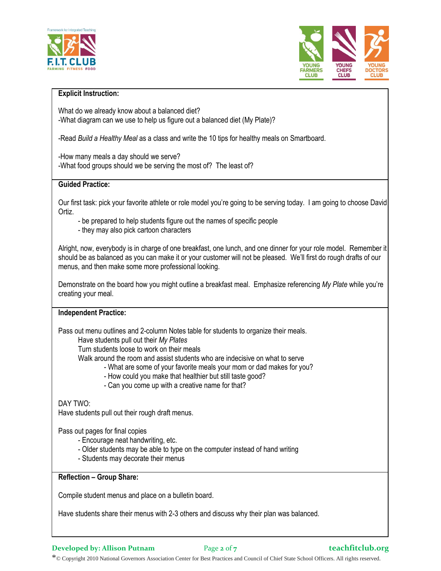



#### **Explicit Instruction:**

What do we already know about a balanced diet? -What diagram can we use to help us figure out a balanced diet (My Plate)?

-Read *Build a Healthy Meal* as a class and write the 10 tips for healthy meals on Smartboard.

-How many meals a day should we serve? -What food groups should we be serving the most of? The least of?

#### **Guided Practice:**

Our first task: pick your favorite athlete or role model you're going to be serving today. I am going to choose David Ortiz.

- be prepared to help students figure out the names of specific people
- they may also pick cartoon characters

Alright, now, everybody is in charge of one breakfast, one lunch, and one dinner for your role model. Remember it should be as balanced as you can make it or your customer will not be pleased. We'll first do rough drafts of our menus, and then make some more professional looking.

Demonstrate on the board how you might outline a breakfast meal. Emphasize referencing *My Plate* while you're creating your meal.

#### **Independent Practice:**

Pass out menu outlines and 2-column Notes table for students to organize their meals.

Have students pull out their *My Plates*

Turn students loose to work on their meals

Walk around the room and assist students who are indecisive on what to serve

- What are some of your favorite meals your mom or dad makes for you?
	- How could you make that healthier but still taste good?
- Can you come up with a creative name for that?

DAY TWO:

Have students pull out their rough draft menus.

Pass out pages for final copies

- Encourage neat handwriting, etc.
- Older students may be able to type on the computer instead of hand writing
- Students may decorate their menus

**Reflection – Group Share:**

Compile student menus and place on a bulletin board.

Have students share their menus with 2-3 others and discuss why their plan was balanced.

**Developed by: Allison Putnam** Page 2 of 7 **Page 1** *teachfitclub.org*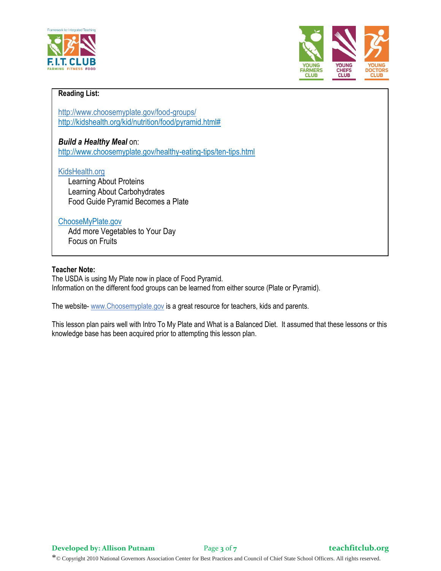



### **Reading List:**

http://www.choosemyplate.gov/food-groups/ [http://kidshealth.org/kid/nutrition/food/pyramid.html#](http://kidshealth.org/kid/nutrition/food/pyramid.html)

*Build a Healthy Meal* on: http://www.choosemyplate.gov/healthy-eating-tips/ten-tips.html

#### KidsHealth.org

 Learning About Proteins Learning About Carbohydrates Food Guide Pyramid Becomes a Plate

#### ChooseMyPlate.gov

 Add more Vegetables to Your Day Focus on Fruits

### **Teacher Note:**

The USDA is using My Plate now in place of Food Pyramid. Information on the different food groups can be learned from either source (Plate or Pyramid).

The website- www.Choosemyplate.gov is a great resource for teachers, kids and parents.

This lesson plan pairs well with Intro To My Plate and What is a Balanced Diet. It assumed that these lessons or this knowledge base has been acquired prior to attempting this lesson plan.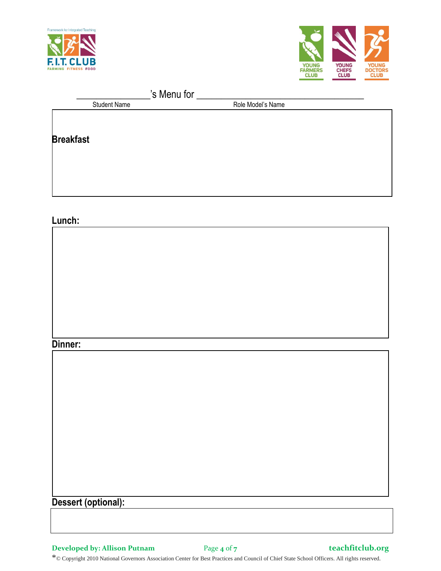



| s Menu for          |  |                   |  |
|---------------------|--|-------------------|--|
| <b>Student Name</b> |  | Role Model's Name |  |
|                     |  |                   |  |
|                     |  |                   |  |
| <b>Breakfast</b>    |  |                   |  |
|                     |  |                   |  |
|                     |  |                   |  |
|                     |  |                   |  |
|                     |  |                   |  |
|                     |  |                   |  |

## **Lunch:**

### **Dinner:**

| <b>DUULLA</b>       |  |  |  |
|---------------------|--|--|--|
|                     |  |  |  |
|                     |  |  |  |
|                     |  |  |  |
|                     |  |  |  |
|                     |  |  |  |
|                     |  |  |  |
|                     |  |  |  |
|                     |  |  |  |
|                     |  |  |  |
|                     |  |  |  |
|                     |  |  |  |
|                     |  |  |  |
|                     |  |  |  |
|                     |  |  |  |
|                     |  |  |  |
|                     |  |  |  |
|                     |  |  |  |
|                     |  |  |  |
|                     |  |  |  |
| Dessert (optional): |  |  |  |
|                     |  |  |  |
|                     |  |  |  |
|                     |  |  |  |

**Developed by: Allison Putnam** Page **4** of **7 teachfitclub.org**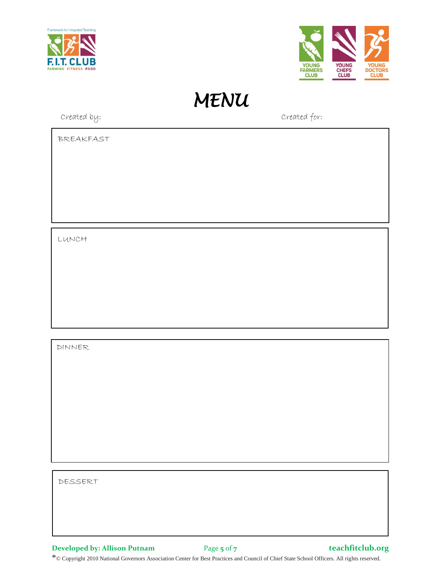



*MENU* 

Created by: Created for:

BREAKFAST

LUNCH

DINNER

DESSERT

**Developed by: Allison Putnam** Page **5** of **7 teachfitclub.org**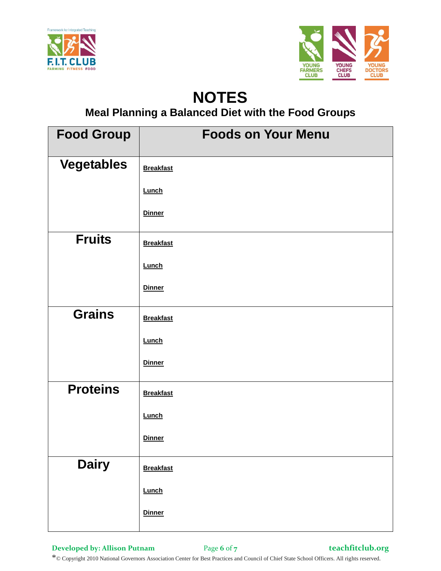



# **NOTES**

**Meal Planning a Balanced Diet with the Food Groups**

| <b>Food Group</b> | <b>Foods on Your Menu</b> |
|-------------------|---------------------------|
| <b>Vegetables</b> | <b>Breakfast</b>          |
|                   | <b>Lunch</b>              |
|                   | <b>Dinner</b>             |
| <b>Fruits</b>     | <b>Breakfast</b>          |
|                   | Lunch                     |
|                   | <b>Dinner</b>             |
| <b>Grains</b>     | <b>Breakfast</b>          |
|                   | <b>Lunch</b>              |
|                   | <b>Dinner</b>             |
| <b>Proteins</b>   | <b>Breakfast</b>          |
|                   | Lunch                     |
|                   | <b>Dinner</b>             |
| <b>Dairy</b>      | <b>Breakfast</b>          |
|                   | Lunch                     |
|                   | <b>Dinner</b>             |

**Developed by: Allison Putnam** Page **6** of **7 teachfitclub.org**